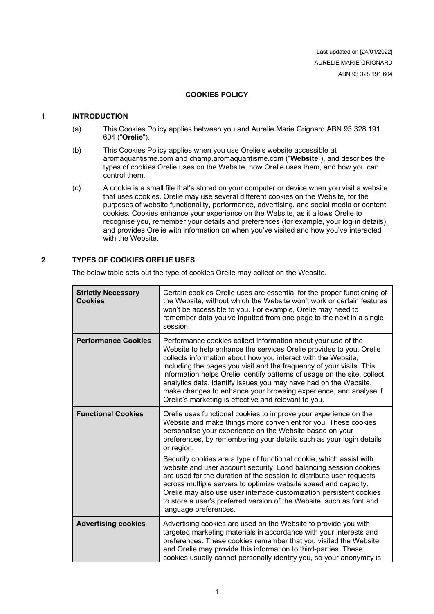Last updated on [24/01/2022] AURELIE MARIE GRIGNARD ABN 93 328 191 604

# **COOKIES POLICY**

#### **1 INTRODUCTION**

- (a) This Cookies Policy applies between you and Aurelie Marie Grignard ABN 93 328 191 604 ("**Orelie**").
- (b) This Cookies Policy applies when you use Orelie's website accessible at aromaquantisme.com and champ.aromaquantisme.com ("**Website**"), and describes the types of cookies Orelie uses on the Website, how Orelie uses them, and how you can control them.
- (c) A cookie is a small file that's stored on your computer or device when you visit a website that uses cookies. Orelie may use several different cookies on the Website, for the purposes of website functionality, performance, advertising, and social media or content cookies. Cookies enhance your experience on the Website, as it allows Orelie to recognise you, remember your details and preferences (for example, your log-in details), and provides Orelie with information on when you've visited and how you've interacted with the Website.

## **2 TYPES OF COOKIES ORELIE USES**

The below table sets out the type of cookies Orelie may collect on the Website.

| <b>Strictly Necessary</b><br><b>Cookies</b> | Certain cookies Orelie uses are essential for the proper functioning of<br>the Website, without which the Website won't work or certain features<br>won't be accessible to you. For example, Orelie may need to<br>remember data you've inputted from one page to the next in a single<br>session.                                                                                                                                                                                                                                                        |
|---------------------------------------------|-----------------------------------------------------------------------------------------------------------------------------------------------------------------------------------------------------------------------------------------------------------------------------------------------------------------------------------------------------------------------------------------------------------------------------------------------------------------------------------------------------------------------------------------------------------|
| <b>Performance Cookies</b>                  | Performance cookies collect information about your use of the<br>Website to help enhance the services Orelie provides to you. Orelie<br>collects information about how you interact with the Website,<br>including the pages you visit and the frequency of your visits. This<br>information helps Orelie identify patterns of usage on the site, collect<br>analytics data, identify issues you may have had on the Website,<br>make changes to enhance your browsing experience, and analyse if<br>Orelie's marketing is effective and relevant to you. |
| <b>Functional Cookies</b>                   | Orelie uses functional cookies to improve your experience on the<br>Website and make things more convenient for you. These cookies<br>personalise your experience on the Website based on your<br>preferences, by remembering your details such as your login details<br>or region.                                                                                                                                                                                                                                                                       |
|                                             | Security cookies are a type of functional cookie, which assist with<br>website and user account security. Load balancing session cookies<br>are used for the duration of the session to distribute user requests<br>across multiple servers to optimize website speed and capacity.<br>Orelie may also use user interface customization persistent cookies<br>to store a user's preferred version of the Website, such as font and<br>language preferences.                                                                                               |
| <b>Advertising cookies</b>                  | Advertising cookies are used on the Website to provide you with<br>targeted marketing materials in accordance with your interests and<br>preferences. These cookies remember that you visited the Website,<br>and Orelie may provide this information to third-parties. These<br>cookies usually cannot personally identify you, so your anonymity is                                                                                                                                                                                                     |